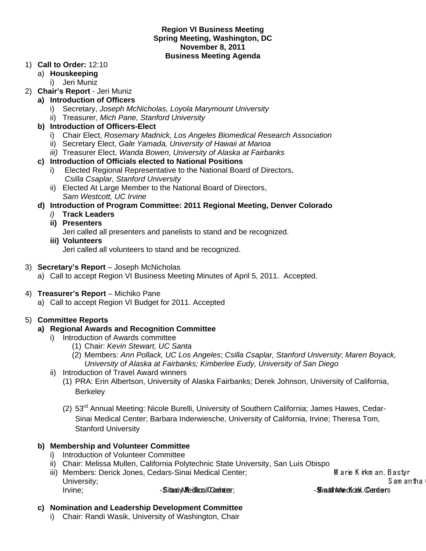#### **Region VI Business Meeting Spring Meeting, Washington, DC November 8, 2011 Business Meeting Agenda**

#### 1) **Call to Order:** 12:10

- a) **Houskeeping**
	- i) Jeri Muniz
- 2) **Chair's Report** Jeri Muniz
	- **a) Introduction of Officers** 
		- i) Secretary, *Joseph McNicholas, Loyola Marymount University*
		- ii) Treasurer, *Mich Pane, Stanford University*

## **b) Introduction of Officers-Elect**

- i) Chair Elect, *Rosemary Madnick, Los Angeles Biomedical Research Association*
- ii) Secretary Elect, *Gale Yamada, University of Hawaii at Manoa*
- *iii)* Treasurer Elect, *Wanda Bowen, University of Alaska at Fairbanks*

#### **c) Introduction of Officials elected to National Positions**

- i) Elected Regional Representative to the National Board of Directors, *Csilla Csaplar, Stanford University*
- ii) Elected At Large Member to the National Board of Directors, *Sam Westcott, UC Irvine*
- **d) Introduction of Program Committee: 2011 Regional Meeting, Denver Colorado**
	- *i)* **Track Leaders**
	- **ii) Presenters**

Jeri called all presenters and panelists to stand and be recognized.

**iii) Volunteers** Jeri called all volunteers to stand and be recognized.

#### 3) **Secretary's Report** – Joseph McNicholas

- a) Call to accept Region VI Business Meeting Minutes of April 5, 2011. Accepted.
- 4) **Treasurer's Report** Michiko Pane
	- a) Call to accept Region VI Budget for 2011. Accepted

# 5) **Committee Reports**

## **a) Regional Awards and Recognition Committee**

- i) Introduction of Awards committee
	- (1) Chair: *Kevin Stewart, UC Santa*
	- (2) Members: *Ann Pollack, UC Los Angeles*; *Csilla Csaplar, Stanford University*; *Maren Boyack, University of Alaska at Fairbanks; Kimberlee Eudy, University of San Diego*
- ii) Introduction of Travel Award winners
	- (1) PRA: Erin Albertson, University of Alaska Fairbanks; Derek Johnson, University of California, **Berkeley**
	- (2) 53rd Annual Meeting: Nicole Burelli, University of Southern California; James Hawes, Cedar-Sinai Medical Center; Barbara Inderwiesche, University of California, Irvine; Theresa Tom, Stanford University

# **b) Membership and Volunteer Committee**

- i) Introduction of Volunteer Committee
- ii) Chair: Melissa Mullen, California Polytechnic State University, San Luis Obispo
- iii) Members: Derick Jones, Cedars-Sinai Medical Center; Marie K irkm an, Bastyr University; S am antha G 
Irvine; etc. Sitaa Medical Center; Subsetter; Subsetter; Subsetter Matthew K institute M atthew K institute M atthew K institute M atthew K institute M atthew K institute M atthew K institute M atthew K institute M atthew

#### **c) Nomination and Leadership Development Committee**

i) Chair: Randi Wasik, University of Washington, Chair